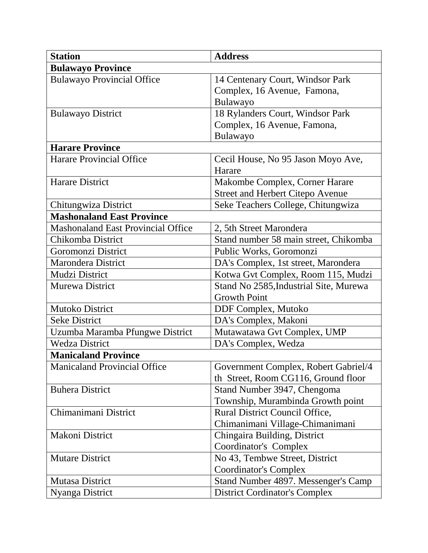| <b>Station</b>                            | <b>Address</b>                          |
|-------------------------------------------|-----------------------------------------|
| <b>Bulawayo Province</b>                  |                                         |
| <b>Bulawayo Provincial Office</b>         | 14 Centenary Court, Windsor Park        |
|                                           | Complex, 16 Avenue, Famona,             |
|                                           | Bulawayo                                |
| <b>Bulawayo District</b>                  | 18 Rylanders Court, Windsor Park        |
|                                           | Complex, 16 Avenue, Famona,             |
|                                           | Bulawayo                                |
| <b>Harare Province</b>                    |                                         |
| <b>Harare Provincial Office</b>           | Cecil House, No 95 Jason Moyo Ave,      |
|                                           | Harare                                  |
| <b>Harare District</b>                    | Makombe Complex, Corner Harare          |
|                                           | <b>Street and Herbert Citepo Avenue</b> |
| Chitungwiza District                      | Seke Teachers College, Chitungwiza      |
| <b>Mashonaland East Province</b>          |                                         |
| <b>Mashonaland East Provincial Office</b> | 2, 5th Street Marondera                 |
| Chikomba District                         | Stand number 58 main street, Chikomba   |
| Goromonzi District                        | Public Works, Goromonzi                 |
| <b>Marondera District</b>                 | DA's Complex, 1st street, Marondera     |
| Mudzi District                            | Kotwa Gvt Complex, Room 115, Mudzi      |
| Murewa District                           | Stand No 2585, Industrial Site, Murewa  |
|                                           | <b>Growth Point</b>                     |
| <b>Mutoko District</b>                    | DDF Complex, Mutoko                     |
| <b>Seke District</b>                      | DA's Complex, Makoni                    |
| Uzumba Maramba Pfungwe District           | Mutawatawa Gvt Complex, UMP             |
| <b>Wedza District</b>                     | DA's Complex, Wedza                     |
| <b>Manicaland Province</b>                |                                         |
| <b>Manicaland Provincial Office</b>       | Government Complex, Robert Gabriel/4    |
|                                           | th Street, Room CG116, Ground floor     |
| <b>Buhera District</b>                    | Stand Number 3947, Chengoma             |
|                                           | Township, Murambinda Growth point       |
| Chimanimani District                      | Rural District Council Office,          |
|                                           | Chimanimani Village-Chimanimani         |
| Makoni District                           | Chingaira Building, District            |
|                                           | Coordinator's Complex                   |
| <b>Mutare District</b>                    | No 43, Tembwe Street, District          |
|                                           | <b>Coordinator's Complex</b>            |
| <b>Mutasa District</b>                    | Stand Number 4897. Messenger's Camp     |
| Nyanga District                           | <b>District Cordinator's Complex</b>    |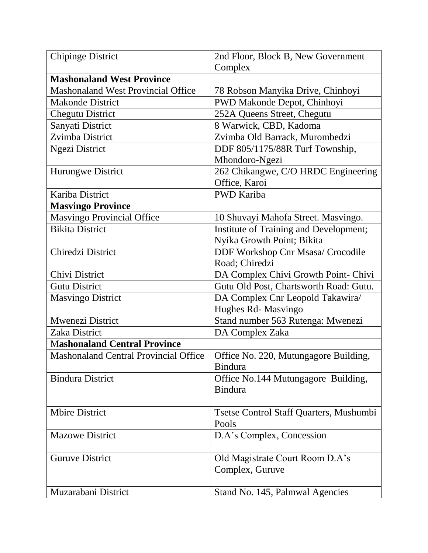| <b>Chipinge District</b>                     | 2nd Floor, Block B, New Government      |
|----------------------------------------------|-----------------------------------------|
|                                              | Complex                                 |
| <b>Mashonaland West Province</b>             |                                         |
| <b>Mashonaland West Provincial Office</b>    | 78 Robson Manyika Drive, Chinhoyi       |
| <b>Makonde District</b>                      | PWD Makonde Depot, Chinhoyi             |
| <b>Chegutu District</b>                      | 252A Queens Street, Chegutu             |
| Sanyati District                             | 8 Warwick, CBD, Kadoma                  |
| Zvimba District                              | Zvimba Old Barrack, Murombedzi          |
| <b>Ngezi District</b>                        | DDF 805/1175/88R Turf Township,         |
|                                              | Mhondoro-Ngezi                          |
| Hurungwe District                            | 262 Chikangwe, C/O HRDC Engineering     |
|                                              | Office, Karoi                           |
| Kariba District                              | <b>PWD Kariba</b>                       |
| <b>Masvingo Province</b>                     |                                         |
| <b>Masvingo Provincial Office</b>            | 10 Shuvayi Mahofa Street. Masvingo.     |
| <b>Bikita District</b>                       | Institute of Training and Development;  |
|                                              | Nyika Growth Point; Bikita              |
| Chiredzi District                            | DDF Workshop Cnr Msasa/ Crocodile       |
|                                              | Road; Chiredzi                          |
| Chivi District                               | DA Complex Chivi Growth Point- Chivi    |
| <b>Gutu District</b>                         | Gutu Old Post, Chartsworth Road: Gutu.  |
| <b>Masvingo District</b>                     | DA Complex Cnr Leopold Takawira/        |
|                                              | Hughes Rd- Masvingo                     |
| <b>Mwenezi District</b>                      | Stand number 563 Rutenga: Mwenezi       |
| Zaka District                                | DA Complex Zaka                         |
| <b>Mashonaland Central Province</b>          |                                         |
| <b>Mashonaland Central Provincial Office</b> | Office No. 220, Mutungagore Building,   |
|                                              | <b>Bindura</b>                          |
| <b>Bindura District</b>                      | Office No.144 Mutungagore Building,     |
|                                              | <b>Bindura</b>                          |
|                                              |                                         |
| <b>Mbire District</b>                        | Tsetse Control Staff Quarters, Mushumbi |
|                                              | Pools                                   |
| <b>Mazowe District</b>                       | D.A's Complex, Concession               |
|                                              |                                         |
| <b>Guruve District</b>                       | Old Magistrate Court Room D.A's         |
|                                              | Complex, Guruve                         |
|                                              |                                         |
| Muzarabani District                          | Stand No. 145, Palmwal Agencies         |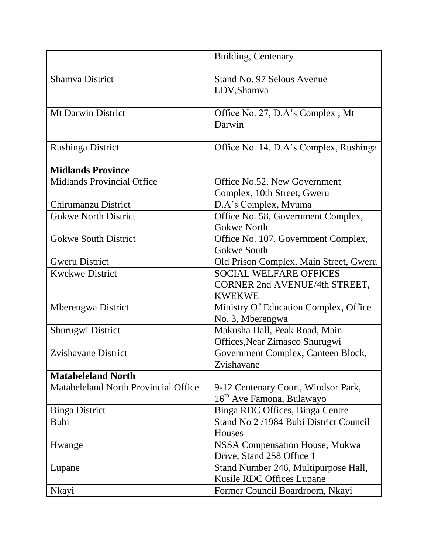|                                      | Building, Centenary                                                          |
|--------------------------------------|------------------------------------------------------------------------------|
| <b>Shamva District</b>               | Stand No. 97 Selous Avenue<br>LDV, Shamva                                    |
| Mt Darwin District                   | Office No. 27, D.A's Complex, Mt<br>Darwin                                   |
| <b>Rushinga District</b>             | Office No. 14, D.A's Complex, Rushinga                                       |
| <b>Midlands Province</b>             |                                                                              |
| <b>Midlands Provincial Office</b>    | Office No.52, New Government<br>Complex, 10th Street, Gweru                  |
| <b>Chirumanzu District</b>           | D.A's Complex, Mvuma                                                         |
| <b>Gokwe North District</b>          | Office No. 58, Government Complex,<br><b>Gokwe North</b>                     |
| <b>Gokwe South District</b>          | Office No. 107, Government Complex,<br>Gokwe South                           |
| <b>Gweru District</b>                | Old Prison Complex, Main Street, Gweru                                       |
| <b>Kwekwe District</b>               | <b>SOCIAL WELFARE OFFICES</b>                                                |
|                                      | CORNER 2nd AVENUE/4th STREET,<br><b>KWEKWE</b>                               |
| Mberengwa District                   | Ministry Of Education Complex, Office<br>No. 3, Mberengwa                    |
| <b>Shurugwi District</b>             | Makusha Hall, Peak Road, Main<br>Offices, Near Zimasco Shurugwi              |
| Zvishavane District                  | Government Complex, Canteen Block,<br>Zvishavane                             |
| <b>Matabeleland North</b>            |                                                                              |
| Matabeleland North Provincial Office | 9-12 Centenary Court, Windsor Park,<br>16 <sup>th</sup> Ave Famona, Bulawayo |
| <b>Binga District</b>                | Binga RDC Offices, Binga Centre                                              |
| <b>Bubi</b>                          | Stand No 2/1984 Bubi District Council<br>Houses                              |
| Hwange                               | NSSA Compensation House, Mukwa<br>Drive, Stand 258 Office 1                  |
| Lupane                               | Stand Number 246, Multipurpose Hall,<br>Kusile RDC Offices Lupane            |
| Nkayi                                | Former Council Boardroom, Nkayi                                              |